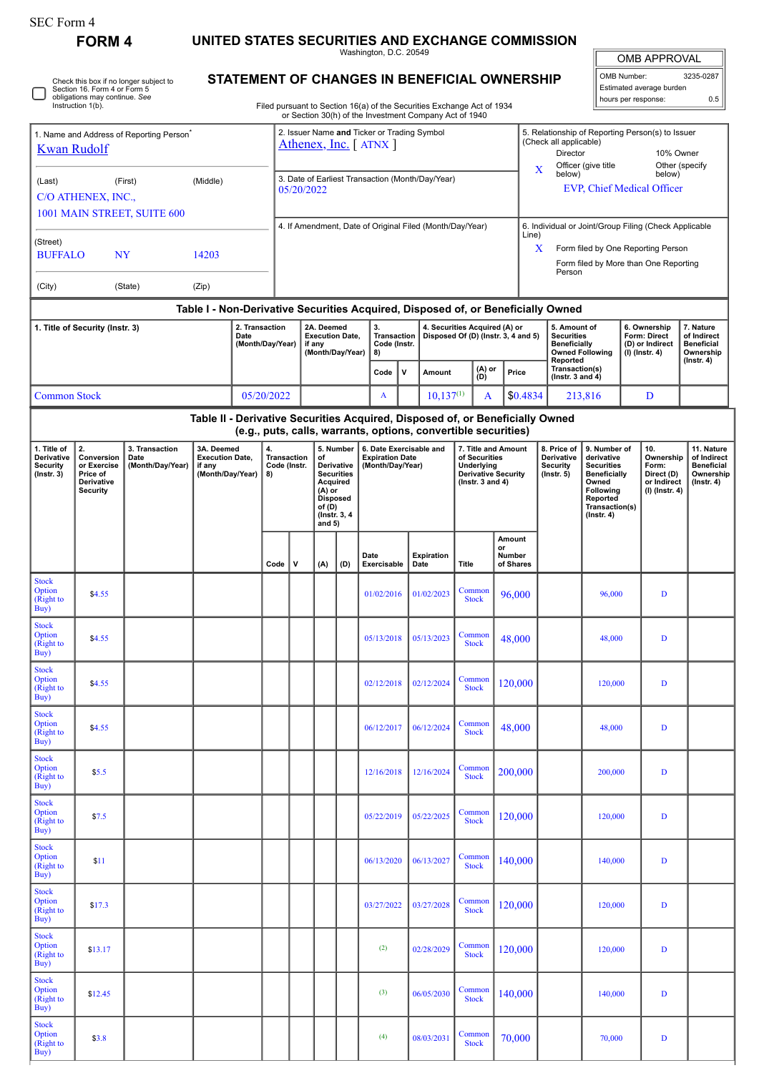$\Box$ 

**FORM 4 UNITED STATES SECURITIES AND EXCHANGE COMMISSION**

Washington, D.C. 20549

OMB APPROVAL OMB Number: 3235-0287 Estimated average burden

hours per response: 0.5

5. Relationship of Reporting Person(s) to Issuer

| Check this box if no longer subject to<br>Section 16, Form 4 or Form 5 |
|------------------------------------------------------------------------|
| obligations may continue. See<br>Instruction 1(b).                     |

1. Name and Address of Reporting Person<sup>\*</sup>

## **STATEMENT OF CHANGES IN BENEFICIAL OWNERSHIP**

Filed pursuant to Section 16(a) of the Securities Exchange Act of 1934 or Section 30(h) of the Investment Company Act of 1940

2. Issuer Name **and** Ticker or Trading Symbol

| <b>Kwan Rudolf</b>                                                                                                                              |                                                                              |                                            |                                                                    |  |                                                | Athenex, Inc. [ ATNX ]                                             |                                                                                                                                     |      |                                                                       |                                    |                           |                                                                                                   |       |                                    | (Check all applicable)<br>10% Owner<br>Director<br>Other (specify<br>Officer (give title                                                                                                                           |                        |  |                                                                          |                                                                                 |  |
|-------------------------------------------------------------------------------------------------------------------------------------------------|------------------------------------------------------------------------------|--------------------------------------------|--------------------------------------------------------------------|--|------------------------------------------------|--------------------------------------------------------------------|-------------------------------------------------------------------------------------------------------------------------------------|------|-----------------------------------------------------------------------|------------------------------------|---------------------------|---------------------------------------------------------------------------------------------------|-------|------------------------------------|--------------------------------------------------------------------------------------------------------------------------------------------------------------------------------------------------------------------|------------------------|--|--------------------------------------------------------------------------|---------------------------------------------------------------------------------|--|
| (Middle)<br>(Last)<br>(First)<br>C/O ATHENEX, INC.,                                                                                             |                                                                              |                                            |                                                                    |  |                                                | 3. Date of Earliest Transaction (Month/Day/Year)<br>05/20/2022     |                                                                                                                                     |      |                                                                       |                                    |                           |                                                                                                   |       | X                                  | below)                                                                                                                                                                                                             |                        |  | below)<br><b>EVP, Chief Medical Officer</b>                              |                                                                                 |  |
| 1001 MAIN STREET, SUITE 600                                                                                                                     |                                                                              |                                            |                                                                    |  |                                                |                                                                    |                                                                                                                                     |      |                                                                       |                                    |                           |                                                                                                   |       |                                    |                                                                                                                                                                                                                    |                        |  |                                                                          |                                                                                 |  |
| (Street)<br><b>BUFFALO</b><br>NY<br>14203                                                                                                       |                                                                              |                                            |                                                                    |  |                                                | 4. If Amendment, Date of Original Filed (Month/Day/Year)           |                                                                                                                                     |      |                                                                       |                                    |                           |                                                                                                   |       |                                    | 6. Individual or Joint/Group Filing (Check Applicable<br>Line)<br>Form filed by One Reporting Person<br>X<br>Form filed by More than One Reporting<br>Person                                                       |                        |  |                                                                          |                                                                                 |  |
| (City)                                                                                                                                          |                                                                              |                                            |                                                                    |  |                                                |                                                                    |                                                                                                                                     |      |                                                                       |                                    |                           |                                                                                                   |       |                                    |                                                                                                                                                                                                                    |                        |  |                                                                          |                                                                                 |  |
|                                                                                                                                                 |                                                                              |                                            |                                                                    |  |                                                |                                                                    |                                                                                                                                     |      |                                                                       |                                    |                           |                                                                                                   |       |                                    | Table I - Non-Derivative Securities Acquired, Disposed of, or Beneficially Owned                                                                                                                                   |                        |  |                                                                          |                                                                                 |  |
| 2. Transaction<br>1. Title of Security (Instr. 3)<br>Date<br>(Month/Day/Year)                                                                   |                                                                              |                                            |                                                                    |  |                                                | 2A. Deemed<br><b>Execution Date,</b><br>if any<br>(Month/Day/Year) |                                                                                                                                     |      | 3.<br>8)                                                              | <b>Transaction</b><br>Code (Instr. |                           | 4. Securities Acquired (A) or<br>Disposed Of (D) (Instr. 3, 4 and 5)                              |       |                                    | 5. Amount of<br><b>Securities</b><br><b>Beneficially</b><br>Reported                                                                                                                                               | <b>Owned Following</b> |  | 6. Ownership<br>Form: Direct<br>(D) or Indirect<br>(I) (Instr. 4)        | 7. Nature<br>of Indirect<br><b>Beneficial</b><br>Ownership<br>$($ Instr. 4 $)$  |  |
|                                                                                                                                                 |                                                                              |                                            |                                                                    |  |                                                |                                                                    |                                                                                                                                     | Code | $\mathbf{v}$                                                          | Amount                             | (D)                       | (A) or                                                                                            | Price | Transaction(s)<br>(Instr. 3 and 4) |                                                                                                                                                                                                                    |                        |  |                                                                          |                                                                                 |  |
| <b>Common Stock</b>                                                                                                                             |                                                                              |                                            |                                                                    |  | 05/20/2022                                     |                                                                    |                                                                                                                                     |      | A                                                                     |                                    | $10,137^{(1)}$            | A                                                                                                 |       | \$0.4834                           |                                                                                                                                                                                                                    | 213,816                |  | D                                                                        |                                                                                 |  |
| Table II - Derivative Securities Acquired, Disposed of, or Beneficially Owned<br>(e.g., puts, calls, warrants, options, convertible securities) |                                                                              |                                            |                                                                    |  |                                                |                                                                    |                                                                                                                                     |      |                                                                       |                                    |                           |                                                                                                   |       |                                    |                                                                                                                                                                                                                    |                        |  |                                                                          |                                                                                 |  |
| 1. Title of<br>Derivative<br>Security<br>$($ Instr. 3 $)$                                                                                       | 2.<br>Conversion<br>or Exercise<br>Price of<br>Derivative<br><b>Security</b> | 3. Transaction<br>Date<br>(Month/Day/Year) | 3A. Deemed<br><b>Execution Date.</b><br>if any<br>(Month/Day/Year) |  | 4.<br><b>Transaction</b><br>Code (Instr.<br>8) |                                                                    | 5. Number<br>of<br>Derivative<br><b>Securities</b><br>Acquired<br>$(A)$ or<br><b>Disposed</b><br>of (D)<br>(Instr. 3, 4<br>and $5)$ |      | 6. Date Exercisable and<br><b>Expiration Date</b><br>(Month/Day/Year) |                                    |                           | 7. Title and Amount<br>of Securities<br>Underlying<br>Derivative Security<br>( $lnstr. 3 and 4$ ) |       |                                    | 8. Price of<br>9. Number of<br>Derivative<br>derivative<br><b>Security</b><br><b>Securities</b><br>$($ lnstr. 5 $)$<br><b>Beneficially</b><br>Owned<br>Following<br>Reported<br>Transaction(s)<br>$($ Instr. 4 $)$ |                        |  | 10.<br>Ownership<br>Form:<br>Direct (D)<br>or Indirect<br>(I) (Instr. 4) | 11. Nature<br>of Indirect<br><b>Beneficial</b><br>Ownership<br>$($ Instr. 4 $)$ |  |
|                                                                                                                                                 |                                                                              |                                            |                                                                    |  | Code                                           | $\mathbf v$                                                        | (A)                                                                                                                                 | (D)  | Date<br>Exercisable                                                   |                                    | <b>Expiration</b><br>Date | Title                                                                                             | or    | Amount<br>Number<br>of Shares      |                                                                                                                                                                                                                    |                        |  |                                                                          |                                                                                 |  |
| <b>Stock</b><br>Option<br>(Right to<br>Buy)                                                                                                     | \$4.55                                                                       |                                            |                                                                    |  |                                                |                                                                    |                                                                                                                                     |      | 01/02/2016                                                            |                                    | 01/02/2023                | Common<br><b>Stock</b>                                                                            |       | 96,000                             |                                                                                                                                                                                                                    | 96,000                 |  | $\mathbf D$                                                              |                                                                                 |  |
| <b>Stock</b><br>Option<br>(Right to<br>Buy)                                                                                                     | \$4.55                                                                       |                                            |                                                                    |  |                                                |                                                                    |                                                                                                                                     |      | 05/13/2018                                                            |                                    | 05/13/2023                | Common<br><b>Stock</b>                                                                            |       | 48,000                             |                                                                                                                                                                                                                    | 48,000                 |  | D                                                                        |                                                                                 |  |
| <b>Stock</b><br>Option<br>(Right to<br>Buy)                                                                                                     | \$4.55                                                                       |                                            |                                                                    |  |                                                |                                                                    |                                                                                                                                     |      | 02/12/2018                                                            |                                    | 02/12/2024                | Common<br><b>Stock</b>                                                                            |       | 120,000                            |                                                                                                                                                                                                                    | 120,000                |  | D                                                                        |                                                                                 |  |
| <b>Stock</b><br>Option<br>(Right to<br>Buy)                                                                                                     | \$4.55                                                                       |                                            |                                                                    |  |                                                |                                                                    |                                                                                                                                     |      | 06/12/2017                                                            |                                    | 06/12/2024                | Common<br><b>Stock</b>                                                                            |       | 48,000                             |                                                                                                                                                                                                                    | 48,000                 |  | D                                                                        |                                                                                 |  |
| <b>Stock</b><br>Option<br>(Right to<br>Buy)                                                                                                     | \$5.5                                                                        |                                            |                                                                    |  |                                                |                                                                    |                                                                                                                                     |      | 12/16/2018                                                            |                                    | 12/16/2024                | Common<br><b>Stock</b>                                                                            |       | 200,000                            |                                                                                                                                                                                                                    | 200,000                |  | $\mathbf D$                                                              |                                                                                 |  |
| <b>Stock</b><br>Option<br>(Right to<br>Buy)                                                                                                     | \$7.5                                                                        |                                            |                                                                    |  |                                                |                                                                    |                                                                                                                                     |      | 05/22/2019                                                            |                                    | 05/22/2025                | Common<br><b>Stock</b>                                                                            |       | 120,000                            |                                                                                                                                                                                                                    | 120,000                |  | D                                                                        |                                                                                 |  |
| <b>Stock</b><br>Option<br>(Right to<br>Buy)                                                                                                     | \$11                                                                         |                                            |                                                                    |  |                                                |                                                                    |                                                                                                                                     |      | 06/13/2020                                                            |                                    | 06/13/2027                | Common<br><b>Stock</b>                                                                            |       | 140,000                            |                                                                                                                                                                                                                    | 140,000                |  | D                                                                        |                                                                                 |  |
| <b>Stock</b><br>Option<br>(Right to<br>Buy)                                                                                                     | \$17.3                                                                       |                                            |                                                                    |  |                                                |                                                                    |                                                                                                                                     |      | 03/27/2022                                                            |                                    | 03/27/2028                | Common<br><b>Stock</b>                                                                            |       | 120,000                            |                                                                                                                                                                                                                    | 120,000                |  | D                                                                        |                                                                                 |  |
| <b>Stock</b><br>Option<br>(Right to<br>Buy)                                                                                                     | \$13.17                                                                      |                                            |                                                                    |  |                                                |                                                                    |                                                                                                                                     |      | (2)                                                                   |                                    | 02/28/2029                | Common<br><b>Stock</b>                                                                            |       | 120,000                            |                                                                                                                                                                                                                    | 120,000                |  | D                                                                        |                                                                                 |  |
| <b>Stock</b><br>Option<br>(Right to<br>Buy)                                                                                                     | \$12.45                                                                      |                                            |                                                                    |  |                                                |                                                                    |                                                                                                                                     |      | (3)                                                                   |                                    | 06/05/2030                | Common<br><b>Stock</b>                                                                            |       | 140,000                            |                                                                                                                                                                                                                    | 140,000                |  | $\mathbf D$                                                              |                                                                                 |  |
| <b>Stock</b><br>Option<br>(Right to<br>Buy)                                                                                                     | \$3.8                                                                        |                                            |                                                                    |  |                                                |                                                                    |                                                                                                                                     |      | (4)                                                                   |                                    | 08/03/2031                | Common<br><b>Stock</b>                                                                            |       | 70,000                             |                                                                                                                                                                                                                    | 70,000                 |  | $\mathbf D$                                                              |                                                                                 |  |